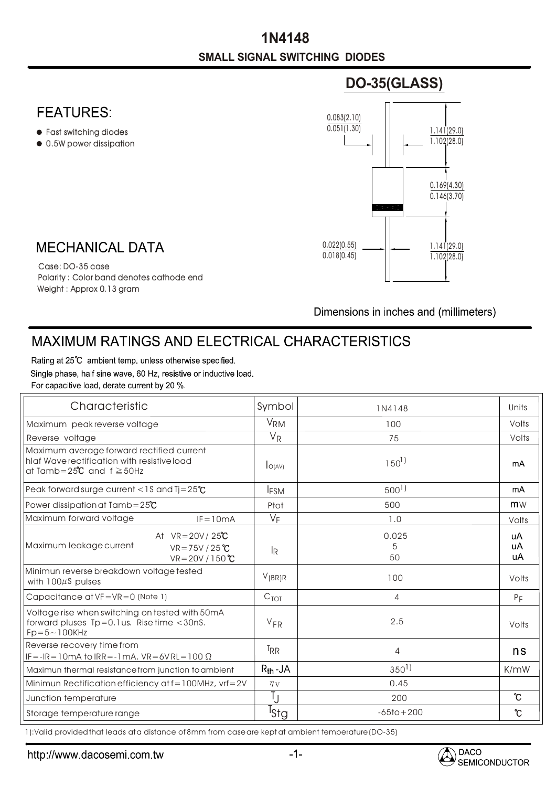#### **1N4148 SMALL SIGNAL SWITCHING DIODES**

## **DO-35(GLASS)**

#### **FEATURES:**

- Fast switching diodes
- $\bullet$  0.5W power dissipation

### **MECHANICAL DATA**

Case: DO-35 case Polarity : Color band denotes cathode end Weight : Approx 0.13 gram



Dimensions in inches and (millimeters)

# MAXIMUM RATINGS AND ELECTRICAL CHARACTERISTICS

Rating at 25°C ambient temp. unless otherwise specified. Single phase, half sine wave, 60 Hz, resistive or inductive load. For capacitive load, derate current by 20 %.

| Characteristic                                                                                                              | Symbol           | 1N4148           | Units           |
|-----------------------------------------------------------------------------------------------------------------------------|------------------|------------------|-----------------|
| Maximum peak reverse voltage                                                                                                | VRM              | 100              | Volts           |
| Reverse voltage                                                                                                             | $\overline{V_R}$ | 75               | Volts           |
| Maximum average forward rectified current<br>hlaf Wave rectification with resistive load<br>at Tamb=25°C and $f \geq 50$ Hz | <b>O</b> (AV)    | $150^{1}$        | mA              |
| Peak forward surge current < 1S and $Tj = 25^{\circ}C$                                                                      | <b>IFSM</b>      | $500^{1}$        | mA              |
| Power dissipation at Tamb= $25^{\circ}\text{C}$                                                                             | Ptot             | 500              | mw              |
| Maximum forward voltage<br>$IF = 10mA$                                                                                      | $V_F$            | 1.0              | Volts           |
| At $VR = 20V / 25^{\circ}C$<br>Maximum leakage current<br>$VR = 75V / 25°C$<br>$VR = 20V / 150^{\circ}C$                    | l <sub>R</sub>   | 0.025<br>5<br>50 | uA<br>uA<br>uA  |
| Minimun reverse breakdown voltage tested<br>with $100\mu$ S pulses                                                          | V(BR)R           | 100              | Volts           |
| Capacitance $atVF = VR = 0$ (Note 1)                                                                                        | C <sub>TOT</sub> | $\overline{4}$   | $P_F$           |
| Voltage rise when switching on tested with 50mA<br>forward pluses Tp=0.1us. Rise time <30nS.<br>$Fp = 5 \sim 100$ KHz       | $V_{FR}$         | 2.5              | Volts           |
| Reverse recovery time from<br>IF = -IR = 10 mA to IRR = -1 mA, $VR = 6V$ RL = 100 $\Omega$                                  | $T_{\rm RR}$     | 4                | ns              |
| Maximun thermal resistance from junction to ambient                                                                         | $R_{th}$ -JA     | $350^{1}$        | K/mW            |
| Minimun Rectification efficiency at $f = 100$ MHz, $vrf = 2V$                                                               | $\eta_{\rm V}$   | 0.45             |                 |
| Junction temperature                                                                                                        | Ţj               | 200              | $\rm ^{\circ}C$ |
| Storage temperature range                                                                                                   | <sup>I</sup> stg | $-65$ to $+200$  | °C              |

1):Valid provided that leads at a distance of 8mm from case are kept at ambient temperature (DO-35)